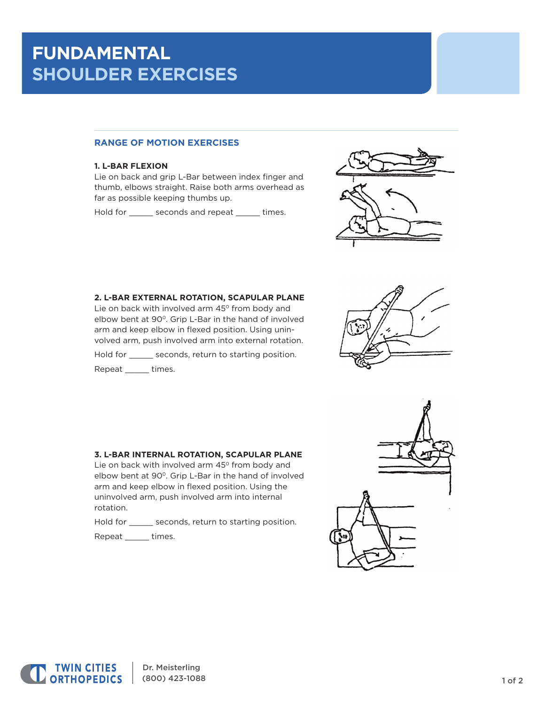# **FUNDAMENTAL SHOULDER EXERCISES**

# **RANGE OF MOTION EXERCISES**

#### **1. L-BAR FLEXION**

Lie on back and grip L-Bar between index finger and thumb, elbows straight. Raise both arms overhead as far as possible keeping thumbs up.

Hold for \_\_\_\_\_\_ seconds and repeat \_\_\_\_\_\_ times.



# **2. L-BAR EXTERNAL ROTATION, SCAPULAR PLANE**

Lie on back with involved arm  $45^\circ$  from body and elbow bent at 90°. Grip L-Bar in the hand of involved arm and keep elbow in flexed position. Using uninvolved arm, push involved arm into external rotation.

Hold for \_\_\_\_\_ seconds, return to starting position. Repeat \_\_\_\_\_ times.



# **3. L-BAR INTERNAL ROTATION, SCAPULAR PLANE**

Lie on back with involved arm  $45^\circ$  from body and elbow bent at 90°. Grip L-Bar in the hand of involved arm and keep elbow in flexed position. Using the uninvolved arm, push involved arm into internal rotation.

Hold for \_\_\_\_\_ seconds, return to starting position. Repeat \_\_\_\_\_ times.



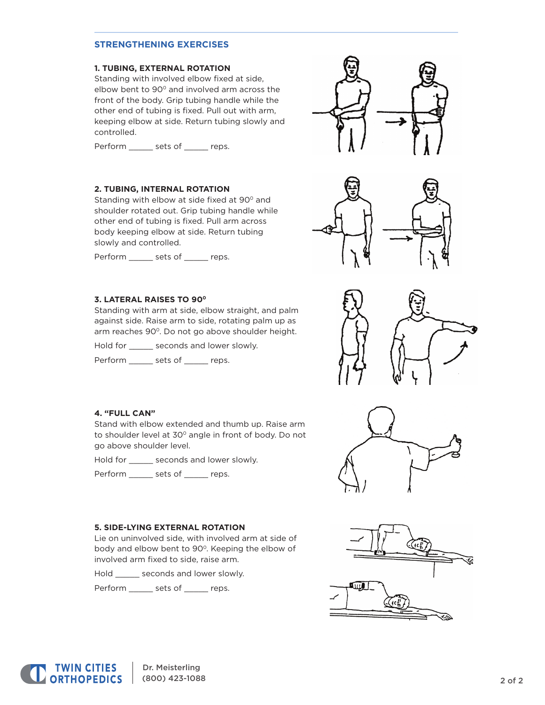# **STRENGTHENING EXERCISES**

#### **1. TUBING, EXTERNAL ROTATION**

Standing with involved elbow fixed at side, elbow bent to  $90^\circ$  and involved arm across the front of the body. Grip tubing handle while the other end of tubing is fixed. Pull out with arm, keeping elbow at side. Return tubing slowly and controlled.

Perform \_\_\_\_\_\_ sets of \_\_\_\_\_ reps.

# **2. TUBING, INTERNAL ROTATION**

Standing with elbow at side fixed at 90° and shoulder rotated out. Grip tubing handle while other end of tubing is fixed. Pull arm across body keeping elbow at side. Return tubing slowly and controlled.

Perform \_\_\_\_\_\_ sets of \_\_\_\_\_ reps.

#### **3. LATERAL RAISES TO 900**

Standing with arm at side, elbow straight, and palm against side. Raise arm to side, rotating palm up as arm reaches 90°. Do not go above shoulder height.

Hold for \_\_\_\_\_\_ seconds and lower slowly.

Perform \_\_\_\_\_\_ sets of \_\_\_\_\_ reps.

# **4. "FULL CAN"**

Stand with elbow extended and thumb up. Raise arm to shoulder level at 30° angle in front of body. Do not go above shoulder level.

Hold for \_\_\_\_\_ seconds and lower slowly.

Perform \_\_\_\_\_\_ sets of \_\_\_\_\_ reps.

#### **5. SIDE-LYING EXTERNAL ROTATION**

Lie on uninvolved side, with involved arm at side of body and elbow bent to 90°. Keeping the elbow of involved arm fixed to side, raise arm.

Hold \_\_\_\_\_\_ seconds and lower slowly.

Perform \_\_\_\_\_\_ sets of \_\_\_\_\_ reps.